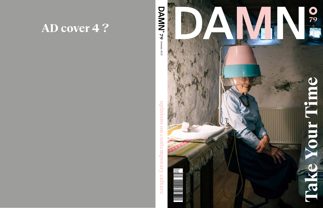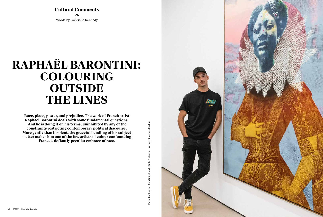

**Cultural Comments 26** Words by Gabrielle Kennedy

## **RAPHAËL BARONTINI: COLOURING OUTSIDE THE LINES**

Portrait of Raphael Barontini, photo by Nolis Anderson. Courtesy of Mariane Ibrahim Portrait of Raphael Barontini, photo by Nolis Anderson. Courtesy of Mariane Ibrahim

**Race, place, power, and prejudice. The work of French artist Raphaël Barontini deals with some fundamental questions. And he is doing it on his terms, uninhibited by any of the constraints restricting contemporary political discourse. More gentle than insolent, the graceful handling of his subject matter makes him one of the few artists of colour confounding France's defiantly peculiar embrace of race.**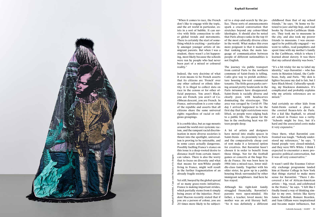

"When it comes to race, the French don't like to engage with the topic, and the art world in particular, ex ists in a sort of bubble. It can sur vive with little connection to oth er global trends and movements. There is certainly the start of some thing which is exciting — particular ly amongst younger artists of im migrant parents. But when I was a student, there wasn't a lot happen ing, most likely because the schools were run by people who had never been part of a mixed or coloured reality."

Indeed, the very doctrine of what it even means to be French asserts that its citizens are 'French' over any other cultural or ethnic iden tity. It is illegal to collect data on race in the census or for other of ficial purposes. You aren't Black, you are French; you aren't of Ca ribbean descent, you are French. In France, universalism is a core value of the republic and asserts that all citizens share the same universal rights regardless of racial or reli gious groupings.

It is a noble idea, but as rage mounts around the world over systemic rac ism, and the rampant racial discrim ination in more diverse societies is thrust into the spotlight, universal ism is proving to be untenable, and in some cases actually dangerous. Possibly fuelling France's stance on this issue is a deep-rooted desire to distance itself from certain Ameri can values. There is also the worry that to focus on diversity and what that means for non-White people living in France, might well result in the further fragmentation of an already fragile society.

Yet still, buoyed by the global spread of so many grass-roots initiatives, France is making important strides, which partially stems from it simply being aware of the injustice. Presi dent Macron recently stated that if you are a person of colour, you are 20 times more likely to be subject -

ed to a stop-and-search by the po lice. These sorts of announcements spark a crucial conversation that stretches beyond any colour-blind ideologies. It should also be noted that Paris always ranks in the top 10 of the most culturally diverse cities in the world. What makes this even more poignant is that it maintains that ranking when the main lan guage of communication between people of different nationalities is not English.

The journey via public transport from central Paris to the northern commune of Saint-Denis is telling. Cafés give way to prefab architec ture housing low-rent commercial tenants. The little green parks curv ing around pretty boulevards in the Paris *intramurs* have disappeared. Saint-Denis is racially diverse and clearly poor, with headscarves dominating the streetscape. This area was ravaged by Covid-19. The day I arrived happened to be the first day that tight restrictions were lifted, so people were edging back to a public life. The queue for the bus in the sweltering heat was fif teen people deep.

A lot of artists and designers have moved into studio spaces in Saint-Denis – its proximity to Paris and the comparatively cheap cost of rent make it a favoured option for creatives. But Barontini hasn't chosen it in order to benefit from those things. Nor for the football games or concerts at the huge Sta de de France. He was born here in 1984 into a mixed-race, lower mid dle-class family. Together with his older sister, he grew up in a public housing block surrounded by other immigrant neighbours. And here he has stayed.

Although his tight-knit family struggled financially, Barontini's parents were open-minded. His father, a teacher, loved music; his mother was an avid literary buff. "So it was definitely a different childhood than that of my school friends," he says. "At home we lis tened to jazz and hip-hop, and read books by French-Caribbean thinkers. They took me to museums in the city, and also took my poorer friends to museums. I was encour aged to be politically engaged — we went to rallies, read pamphlets and spent time with my mother's family in the Caribbean, which is where I learned about slavery. It was there that my cultural identity was born."

"It's a bit tricky for me to label my identity," says Barontini — who has roots in Réunion Island, the Carib bean, Italy, and Paris. "My skin is lighter because my dad is fair, but I have Black blood. Culturally-speaking, my blackness dominates. It's complicated and probably explains why my artistic references are so mixed."

And certainly no other kids from Saint-Denis earned a place at the coveted Beaux-Arts de Paris. For a kid like Raphaël, to attend art school in France was a rarity. "Schools might be free, but it's hard and the associated costs make it very expensive."

Once there, what Barontini con fronted was tough. "Nobody under stood my references," he says. "I found people very closed-minded, and they were 98% White. I think I expected to encounter a more pro gressive political conversation, but it was all very conservative."

It wasn't until the Erasmus Univer sity exchange programme landed him at Hunter College in New York that things started to make more sense for Barontini. "There I dis covered a lot of African-American artists — big, vocal, and celebrated in the States," he says. "I felt like I finally found a way of thinking sim ilar to my own. Artists like Kerry James Marshall, Romare Bearden, and Sam Gilliam were inspirational and became major influences, but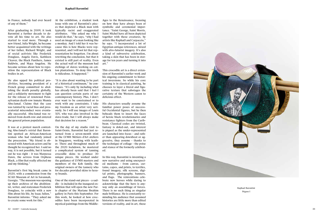

in France, nobody had ever heard of any of them."

After graduating in 2009, it took Barontini a further decade to de vote all his time to art. He also started to read more. Through a new friend, Julia Wright, he became better acquainted with the writings of her father, Richard Wright, and of social activists like Frederick Douglass, Angela Davis, Kathleen Cleaver, the Black Panthers, James Baldwin, and Maya Angelou. He became serious about how to repo sition the representation of Black bodies in art.

He also upped his political pro clivities, becoming president of a French group committed to abol ishing the death penalty globally, and a solidarity movement to fight for the release of renowned Penn sylvanian death-row inmate Mumia Abu-Jamal. Claims that the case was tainted by racial bias and pros ecutorial misconduct were eventu ally successful. Abu-Jamal was re moved from death-row and entered the general prison population.

It was at a protest march contest ing Abu-Jamal's retrial that Baron tini spotted an African-American woman who had randomly joined the procession. "My friend is ob sessed with American actors and he thought he recognized her. I said no way, it is not possible, but it turned out he was right – it was Marpessa Dawn, the actress from Orpheus Black, a film that really affected me and my thinking."

Barontini's first big break came in 2020, with a commission from the SCAD Museum of Art in Savannah, Georgia. "The museum was opening up their archives of the abolition ist, writer, and statesman Frederick Douglass, to coincide with a new film about his life, by Isaac Julien," Barontini informs. "They asked me to create some work for this."

At the exhibition, a student took issue with one of Barontini's piec es that depicted a Black man with typically racist and exaggerated attributes. "She asked me why I would do that," he says, "why I had used an image of a man looking like a monkey. And I told her it was be cause this is how Blacks were rep resented, and I will not let that rep resentation be forgotten. I'm about rewriting the conclusion, but that it existed is still part of reality. Even the actual wall of the museum had etchings of slaves working on cot ton plantations. To deny this truth is ridiculous. It happened."

"It is also about wanting to be part of a historical continuum," he con tinues. "It's only by including what has already been said that I feel I can question certain parts of our contemporary history. Plus, I don't ever want to be constrained or to work with any constraints. I take my freedom as an artist very seri ously. So I will use images of Louis XIV, who was also involved in the slave-trade, but I will always make that decision for a reason."

On the day of my studio visit to Saint-Denis, Barontini had just re turned from a seven-month stint at the LVMH Métiers d'Art ateliers in Singapore, working with leath er. There and throughout much of the 2020 lockdown, he mastered a complicated system of tanning crocodile skins to produce 30 unique pieces. He worked under the guidance of LVMH masters and members of the Koh family, the original owners of the tannery who for decades provided skins to luxu ry brands.

One of the stand-out pieces – a sad dle – is included in the inaugural ex hibition that will open the new Par is chapter of the Mariane Ibrahim gallery in Paris this September. For this work, he looked at how croc odiles have been incorporated in mystical paintings from the MiddleAges to the Renaissance, focusing on how they have always been of symbolic and ceremonial impor tance. "Saint George, Saint Morris, Saint Michel have all been depicted together with these creatures, by artists like Raphaël and Carpaccio," he says. "I incorporated a lot of Egyptian antique references, mixed with afro-futurist imagery. It's also a kind of subversive celebration, taking a skin that has been in stor age for ten years and turning it into art."

This crocodile art is a direct exten sion of Barontini's earlier work and his ongoing commitment to histor ical inversions. So while his core training is in classical painting, he chooses to layer a literal and figu rative texture that sabotages the certainty of the Western canon to delicious effect.

His characters usually assume the familiar power poses of success ful Occidental figures, but he then beheads them to insert the faces of heroic black revolutionaries and resistance fighters from the Carib bean. Classical codes are twisted, fantasy is doled-out, and interest is piqued as the under-represented are launched into focus – and rath er than appearing downbeat or ag gressive, they assume – thanks to the technique of collage – the poise and stance of the formerly celebrat ed.

In this way, Barontini is inventing a new narrative and using unexpect ed mediums - from canvas, curtains, capes, and prints, to textiles, found imagery, silk screens, digi tal prints, photography, banners, and flags. The reinventions cele brate new heroes while daring to acknowledge that the hero is any way only an assemblage of forces. There is no such thing as singular male brilliance. He is constantly re minding his audience that assumed histories are little more than edited versions of reality, and in art, these



Raphael Barontini Pégase I